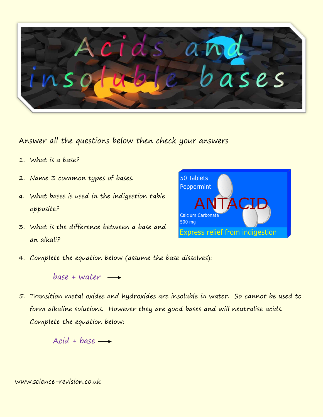

Answer all the questions below then check your answers

- 1. What is a base?
- 2. Name 3 common types of bases.
- a. What bases is used in the indigestion table opposite?
- 3. What is the difference between a base and an alkali?



4. Complete the equation below (assume the base dissolves):

## $base + water \rightarrow$

5. Transition metal oxides and hydroxides are insoluble in water. So cannot be used to form alkaline solutions. However they are good bases and will neutralise acids. Complete the equation below:

 $Acid + base \longrightarrow$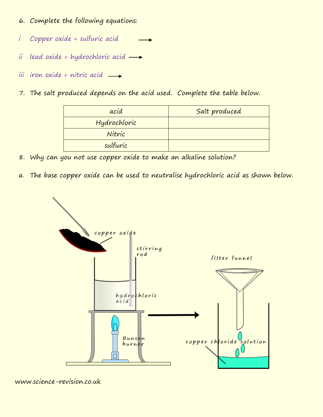- 6. Complete the following equations:
- i Copper oxide + sulfuric acid
- ii lead oxide + hydrochloric acid  $\longrightarrow$
- iii iron oxide + nitric acid  $\rightarrow$
- 7. The salt produced depends on the acid used. Complete the table below.

| acid         | Salt produced |
|--------------|---------------|
| Hydrochloric |               |
| Nitric       |               |
| sulfuric     |               |

- 8. Why can you not use copper oxide to make an alkaline solution?
- a. The base copper oxide can be used to neutralise hydrochloric acid as shown below.



www.science-revision.co.uk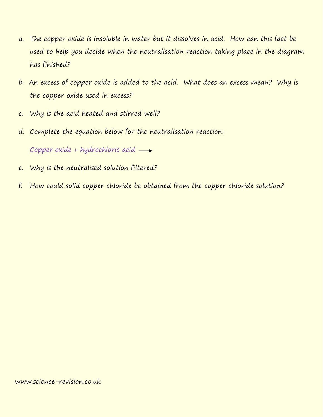- a. The copper oxide is insoluble in water but it dissolves in acid. How can this fact be used to help you decide when the neutralisation reaction taking place in the diagram has finished?
- b. An excess of copper oxide is added to the acid. What does an excess mean? Why is the copper oxide used in excess?
- c. Why is the acid heated and stirred well?
- d. Complete the equation below for the neutralisation reaction:

Copper oxide + hydrochloric acid  $\longrightarrow$ 

- e. Why is the neutralised solution filtered?
- f. How could solid copper chloride be obtained from the copper chloride solution?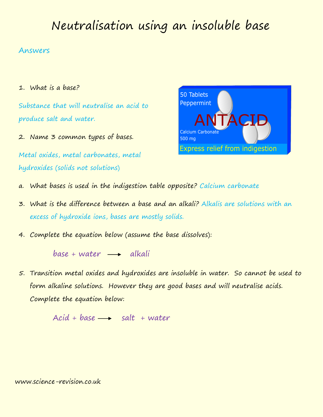## Neutralisation using an insoluble base

## Answers

1. What is a base?

Substance that will neutralise an acid to produce salt and water.

2. Name 3 common types of bases.

Metal oxides, metal carbonates, metal hydroxides (solids not solutions)



- a. What bases is used in the indigestion table opposite? Calcium carbonate
- 3. What is the difference between a base and an alkali? Alkalis are solutions with an excess of hydroxide ions, bases are mostly solids.
- 4. Complete the equation below (assume the base dissolves):

 $base + water \longrightarrow alkali$ 

5. Transition metal oxides and hydroxides are insoluble in water. So cannot be used to form alkaline solutions. However they are good bases and will neutralise acids. Complete the equation below:

 $Acid + base \longrightarrow salt + water$ 

www.science-revision.co.uk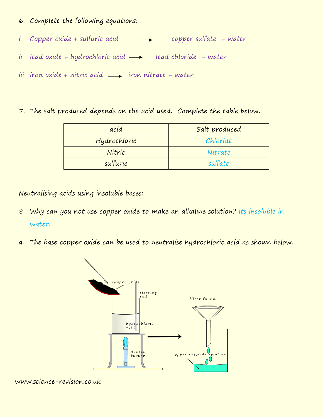- 6. Complete the following equations:
- i Copper oxide + sulfuric acid = copper sulfate + water
- ii lead oxide + hydrochloric acid  $\longrightarrow$  lead chloride + water
- iii iron oxide + nitric acid  $\rightarrow$  iron nitrate + water
- 7. The salt produced depends on the acid used. Complete the table below.

| acid         | Salt produced |
|--------------|---------------|
| Hydrochloric | Chloride      |
| Nitric       | Nitrate       |
| sulfuric     | sulfate       |

Neutralising acids using insoluble bases:

- 8. Why can you not use copper oxide to make an alkaline solution? Its insoluble in water.
- a. The base copper oxide can be used to neutralise hydrochloric acid as shown below.



www.science-revision.co.uk